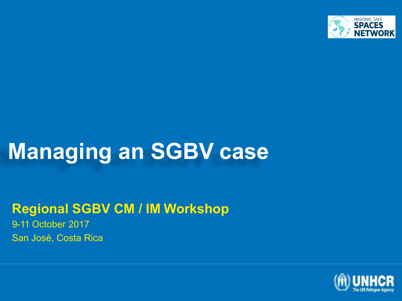

# **Managing an SGBV case**

#### **Regional SGBV CM / IM Workshop**

9-11 October 2017 San José, Costa Rica

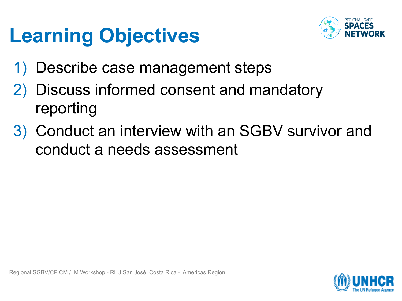# **Learning Objectives**



- 1) Describe case management steps
- Discuss informed consent and mandatory reporting
- 3) Conduct an interview with an SGBV survivor and conduct a needs assessment

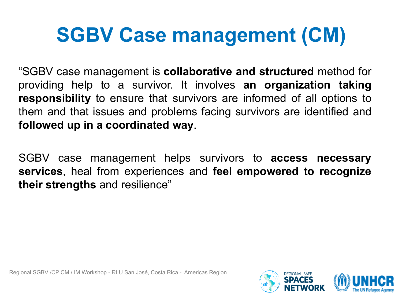# **SGBV Case management (CM)**

"SGBV case management is **collaborative and structured** method for providing help to a survivor. It involves **an organization taking responsibility** to ensure that survivors are informed of all options to them and that issues and problems facing survivors are identified and **followed up in a coordinated way**.

SGBV case management helps survivors to **access necessary services**, heal from experiences and **feel empowered to recognize their strengths** and resilience"

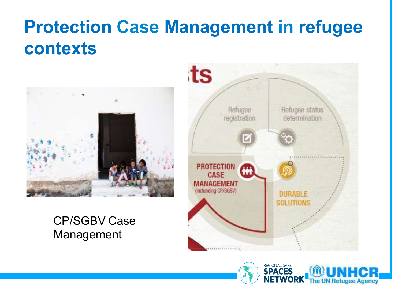### **Protection Case Management in refugee contexts**



#### CP/SGBV Case Management



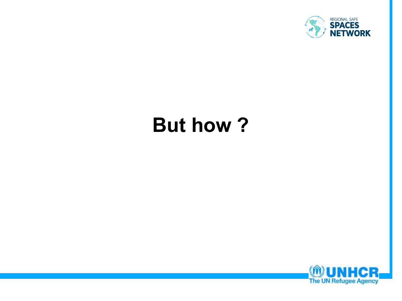

# **But how ?**

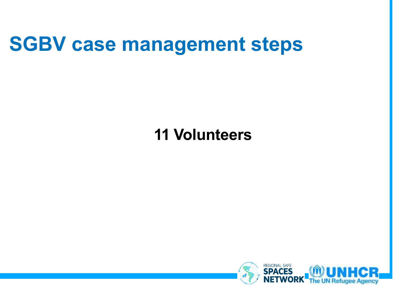## **SGBV case management steps**

### **11 Volunteers**

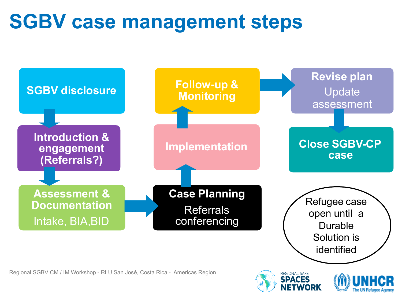# **SGBV case management steps**





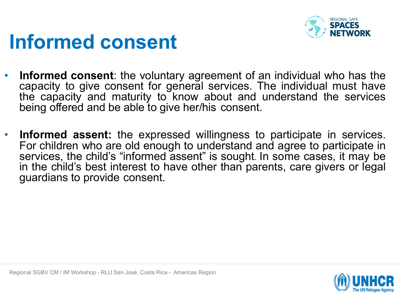

# **Informed consent**

- **Informed consent**: the voluntary agreement of an individual who has the capacity to give consent for general services. The individual must have the capacity and maturity to know about and understand the services being offered and be able to give her/his consent.
- **Informed assent:** the expressed willingness to participate in services. For children who are old enough to understand and agree to participate in services, the child's "informed assent" is sought. In some cases, it may be in the child's best interest to have other than parents, care givers or legal guardians to provide consent.

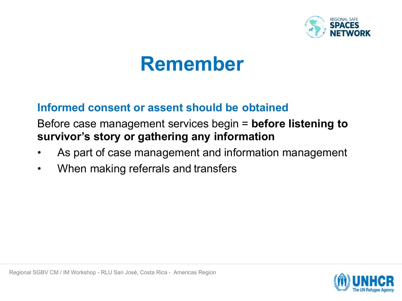

## **Remember**

#### **Informed consent or assent should be obtained**

#### Before case management services begin = **before listening to survivor's story or gathering any information**

- As part of case management and information management
- When making referrals and transfers

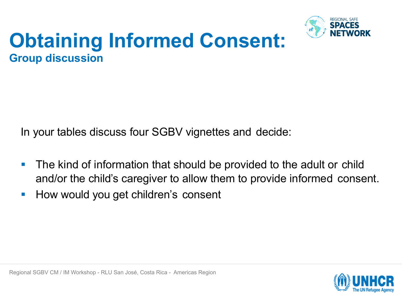

### **Obtaining Informed Consent: Group discussion**

In your tables discuss four SGBV vignettes and decide:

- The kind of information that should be provided to the adult or child and/or the child's caregiver to allow them to provide informed consent.
- How would you get children's consent

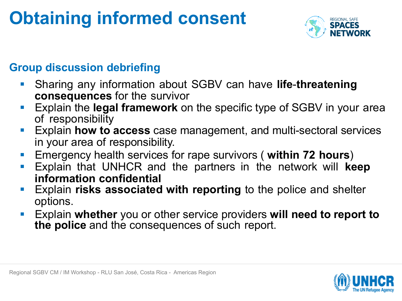## **Obtaining informed consent**



#### **Group discussion debriefing**

- § Sharing any information about SGBV can have **life**-**threatening consequences** for the survivor
- § Explain the **legal framework** on the specific type of SGBV in your area of responsibility
- Explain **how to access** case management, and multi-sectoral services in your area of responsibility.
- § Emergency health services for rape survivors ( **within 72 hours**)
- § Explain that UNHCR and the partners in the network will **keep information confidential**
- § Explain **risks associated with reporting** to the police and shelter options.
- § Explain **whether** you or other service providers **will need to report to the police** and the consequences of such report.

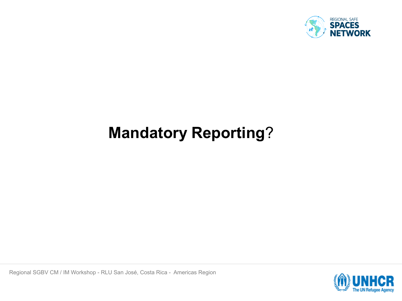

### **Mandatory Reporting**?

Regional SGBV CM / IM Workshop - RLU San José, Costa Rica - Americas Region

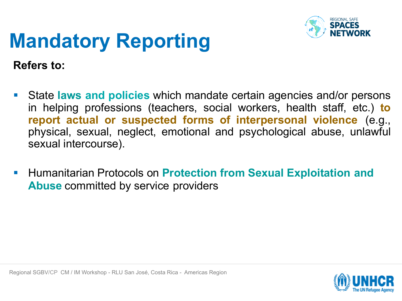

# **Mandatory Reporting**

**Refers to:**

- § State **laws and policies** which mandate certain agencies and/or persons in helping professions (teachers, social workers, health staff, etc.) **to report actual or suspected forms of interpersonal violence** (e.g., physical, sexual, neglect, emotional and psychological abuse, unlawful sexual intercourse).
- § Humanitarian Protocols on **Protection from Sexual Exploitation and Abuse** committed by service providers

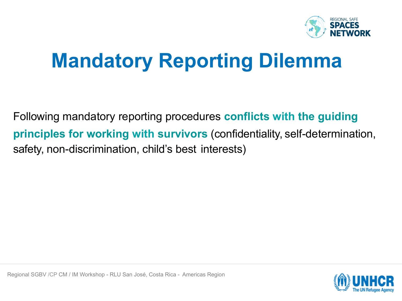

# **Mandatory Reporting Dilemma**

Following mandatory reporting procedures **conflicts with the guiding principles for working with survivors** (confidentiality, self-determination, safety, non-discrimination, child's best interests)

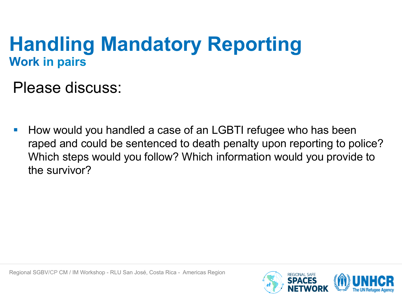### **Handling Mandatory Reporting Work in pairs**

Please discuss:

■ How would you handled a case of an LGBTI refugee who has been raped and could be sentenced to death penalty upon reporting to police? Which steps would you follow? Which information would you provide to the survivor?

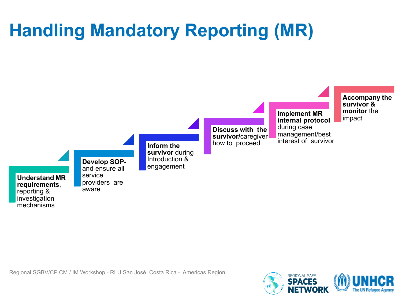# **Handling Mandatory Reporting (MR)**



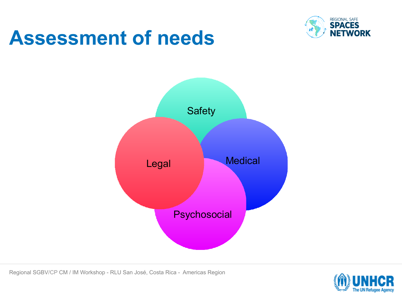

## **Assessment of needs**



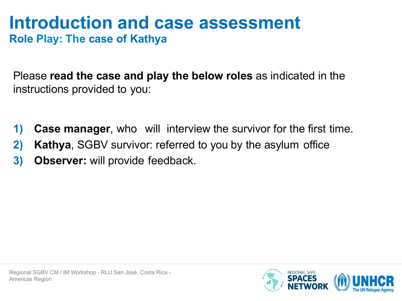#### **Introduction and case assessment Role Play: The case of Kathya**

Please **read the case and play the below roles** as indicated in the instructions provided to you:

- **1) Case manager**, who will interview the survivor for the first time.
- **2) Kathya**, SGBV survivor: referred to you by the asylum office
- **3) Observer:** will provide feedback.

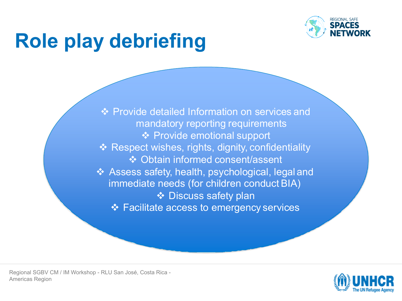

# **Role play debriefing**

❖ Provide detailed Information on services and mandatory reporting requirements **❖ Provide emotional support**  $\triangleleft$  Respect wishes, rights, dignity, confidentiality v Obtain informed consent/assent  $\triangleleft$  Assess safety, health, psychological, legal and immediate needs (for children conduct BIA) ❖ Discuss safety plan ❖ Facilitate access to emergency services

Regional SGBV CM / IM Workshop - RLU San José, Costa Rica - Americas Region

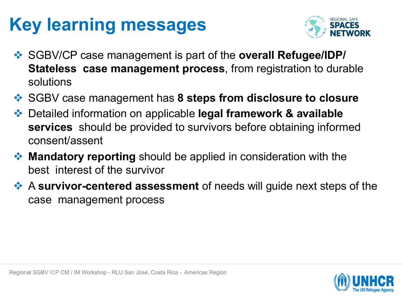## **Key learning messages**



- v SGBV/CP case management is part of the **overall Refugee/IDP/ Stateless case management process**, from registration to durable solutions
- **<sup>◆</sup> SGBV case management has 8 steps from disclosure to closure**
- v Detailed information on applicable **legal framework & available services** should be provided to survivors before obtaining informed consent/assent
- **EXA:** Mandatory reporting should be applied in consideration with the best interest of the survivor
- **EXA Survivor-centered assessment** of needs will guide next steps of the case management process